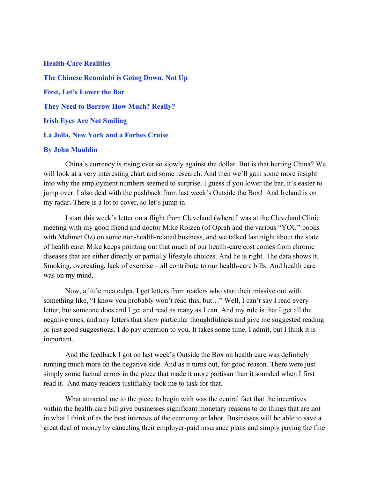Health-Care Realities The Chinese Renminbi is Going Down, Not Up First, Let's Lower the Bar They Need to Borrow How Much? Really? Irish Eyes Are Not Smiling La Jolla, New York and a Forbes Cruise

### By John Mauldin

China's currency is rising ever so slowly against the dollar. But is that hurting China? We will look at a very interesting chart and some research. And then we'll gain some more insight into why the employment numbers seemed to surprise. I guess if you lower the bar, it's easier to jump over. I also deal with the pushback from last week's Outside the Box! And Ireland is on my radar. There is a lot to cover, so let's jump in.

I start this week's letter on a flight from Cleveland (where I was at the Cleveland Clinic meeting with my good friend and doctor Mike Roizen (of Oprah and the various "YOU" books with Mehmet Oz) on some non-health-related business, and we talked last night about the state of health care. Mike keeps pointing out that much of our health-care cost comes from chronic diseases that are either directly or partially lifestyle choices. And he is right. The data shows it. Smoking, overeating, lack of exercise – all contribute to our health-care bills. And health care was on my mind.

Now, a little mea culpa. I get letters from readers who start their missive out with something like, "I know you probably won't read this, but…" Well, I can't say I read every letter, but someone does and I get and read as many as I can. And my rule is that I get all the negative ones, and any letters that show particular thoughtfulness and give me suggested reading or just good suggestions. I do pay attention to you. It takes some time, I admit, but I think it is important.

And the feedback I got on last week's Outside the Box on health care was definitely running much more on the negative side. And as it turns out, for good reason. There were just simply some factual errors in the piece that made it more partisan than it sounded when I first read it. And many readers justifiably took me to task for that.

What attracted me to the piece to begin with was the central fact that the incentives within the health-care bill give businesses significant monetary reasons to do things that are not in what I think of as the best interests of the economy or labor. Businesses will be able to save a great deal of money by canceling their employer-paid insurance plans and simply paying the fine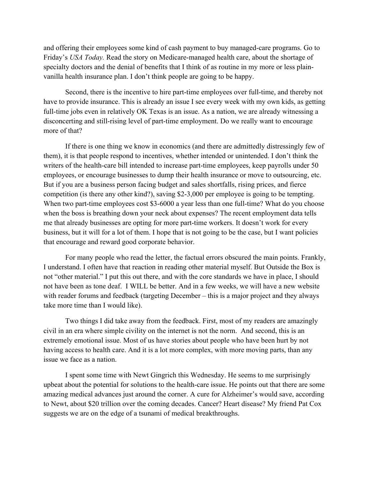and offering their employees some kind of cash payment to buy managed-care programs. Go to Friday's *USA Today.* Read the story on Medicare-managed health care, about the shortage of specialty doctors and the denial of benefits that I think of as routine in my more or less plainvanilla health insurance plan. I don't think people are going to be happy.

Second, there is the incentive to hire part-time employees over full-time, and thereby not have to provide insurance. This is already an issue I see every week with my own kids, as getting full-time jobs even in relatively OK Texas is an issue. As a nation, we are already witnessing a disconcerting and still-rising level of part-time employment. Do we really want to encourage more of that?

If there is one thing we know in economics (and there are admittedly distressingly few of them), it is that people respond to incentives, whether intended or unintended. I don't think the writers of the health-care bill intended to increase part-time employees, keep payrolls under 50 employees, or encourage businesses to dump their health insurance or move to outsourcing, etc. But if you are a business person facing budget and sales shortfalls, rising prices, and fierce competition (is there any other kind?), saving \$2-3,000 per employee is going to be tempting. When two part-time employees cost \$3-6000 a year less than one full-time? What do you choose when the boss is breathing down your neck about expenses? The recent employment data tells me that already businesses are opting for more part-time workers. It doesn't work for every business, but it will for a lot of them. I hope that is not going to be the case, but I want policies that encourage and reward good corporate behavior.

For many people who read the letter, the factual errors obscured the main points. Frankly, I understand. I often have that reaction in reading other material myself. But Outside the Box is not "other material." I put this out there, and with the core standards we have in place, I should not have been as tone deaf. I WILL be better. And in a few weeks, we will have a new website with reader forums and feedback (targeting December – this is a major project and they always take more time than I would like).

Two things I did take away from the feedback. First, most of my readers are amazingly civil in an era where simple civility on the internet is not the norm. And second, this is an extremely emotional issue. Most of us have stories about people who have been hurt by not having access to health care. And it is a lot more complex, with more moving parts, than any issue we face as a nation.

I spent some time with Newt Gingrich this Wednesday. He seems to me surprisingly upbeat about the potential for solutions to the health-care issue. He points out that there are some amazing medical advances just around the corner. A cure for Alzheimer's would save, according to Newt, about \$20 trillion over the coming decades. Cancer? Heart disease? My friend Pat Cox suggests we are on the edge of a tsunami of medical breakthroughs.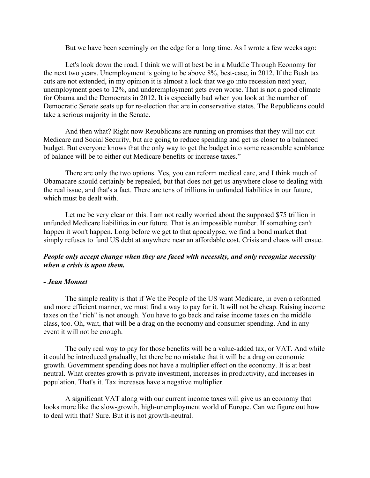But we have been seemingly on the edge for a long time. As I wrote a few weeks ago:

Let's look down the road. I think we will at best be in a Muddle Through Economy for the next two years. Unemployment is going to be above 8%, best-case, in 2012. If the Bush tax cuts are not extended, in my opinion it is almost a lock that we go into recession next year, unemployment goes to 12%, and underemployment gets even worse. That is not a good climate for Obama and the Democrats in 2012. It is especially bad when you look at the number of Democratic Senate seats up for re-election that are in conservative states. The Republicans could take a serious majority in the Senate.

And then what? Right now Republicans are running on promises that they will not cut Medicare and Social Security, but are going to reduce spending and get us closer to a balanced budget. But everyone knows that the only way to get the budget into some reasonable semblance of balance will be to either cut Medicare benefits or increase taxes."

There are only the two options. Yes, you can reform medical care, and I think much of Obamacare should certainly be repealed, but that does not get us anywhere close to dealing with the real issue, and that's a fact. There are tens of trillions in unfunded liabilities in our future, which must be dealt with.

Let me be very clear on this. I am not really worried about the supposed \$75 trillion in unfunded Medicare liabilities in our future. That is an impossible number. If something can't happen it won't happen. Long before we get to that apocalypse, we find a bond market that simply refuses to fund US debt at anywhere near an affordable cost. Crisis and chaos will ensue.

# *People only accept change when they are faced with necessity, and only recognize necessity when a crisis is upon them.*

# *- Jean Monnet*

The simple reality is that if We the People of the US want Medicare, in even a reformed and more efficient manner, we must find a way to pay for it. It will not be cheap. Raising income taxes on the "rich" is not enough. You have to go back and raise income taxes on the middle class, too. Oh, wait, that will be a drag on the economy and consumer spending. And in any event it will not be enough.

The only real way to pay for those benefits will be a value-added tax, or VAT. And while it could be introduced gradually, let there be no mistake that it will be a drag on economic growth. Government spending does not have a multiplier effect on the economy. It is at best neutral. What creates growth is private investment, increases in productivity, and increases in population. That's it. Tax increases have a negative multiplier.

A significant VAT along with our current income taxes will give us an economy that looks more like the slow-growth, high-unemployment world of Europe. Can we figure out how to deal with that? Sure. But it is not growth-neutral.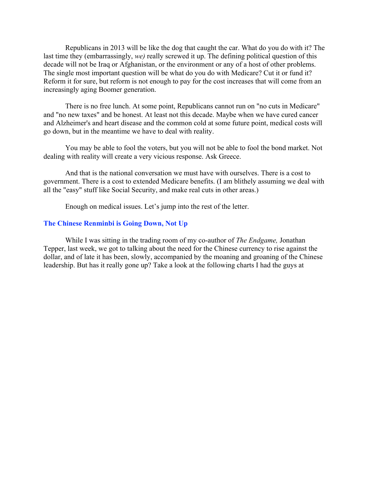Republicans in 2013 will be like the dog that caught the car. What do you do with it? The last time they (embarrassingly, *we)* really screwed it up. The defining political question of this decade will not be Iraq or Afghanistan, or the environment or any of a host of other problems. The single most important question will be what do you do with Medicare? Cut it or fund it? Reform it for sure, but reform is not enough to pay for the cost increases that will come from an increasingly aging Boomer generation.

There is no free lunch. At some point, Republicans cannot run on "no cuts in Medicare" and "no new taxes" and be honest. At least not this decade. Maybe when we have cured cancer and Alzheimer's and heart disease and the common cold at some future point, medical costs will go down, but in the meantime we have to deal with reality.

You may be able to fool the voters, but you will not be able to fool the bond market. Not dealing with reality will create a very vicious response. Ask Greece.

And that is the national conversation we must have with ourselves. There is a cost to government. There is a cost to extended Medicare benefits. (I am blithely assuming we deal with all the "easy" stuff like Social Security, and make real cuts in other areas.)

Enough on medical issues. Let's jump into the rest of the letter.

### The Chinese Renminbi is Going Down, Not Up

While I was sitting in the trading room of my co-author of *The Endgame,* Jonathan Tepper, last week, we got to talking about the need for the Chinese currency to rise against the dollar, and of late it has been, slowly, accompanied by the moaning and groaning of the Chinese leadership. But has it really gone up? Take a look at the following charts I had the guys at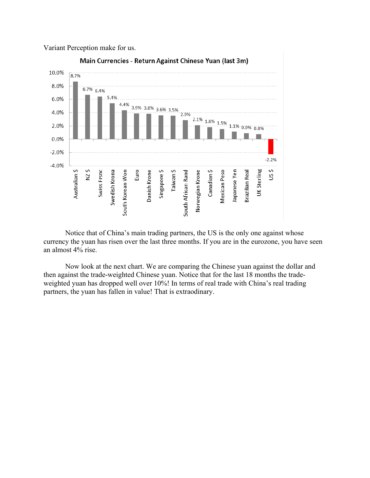Variant Perception make for us.



Notice that of China's main trading partners, the US is the only one against whose currency the yuan has risen over the last three months. If you are in the eurozone, you have seen an almost 4% rise.

Now look at the next chart. We are comparing the Chinese yuan against the dollar and then against the trade-weighted Chinese yuan. Notice that for the last 18 months the tradeweighted yuan has dropped well over 10%! In terms of real trade with China's real trading partners, the yuan has fallen in value! That is extraodinary.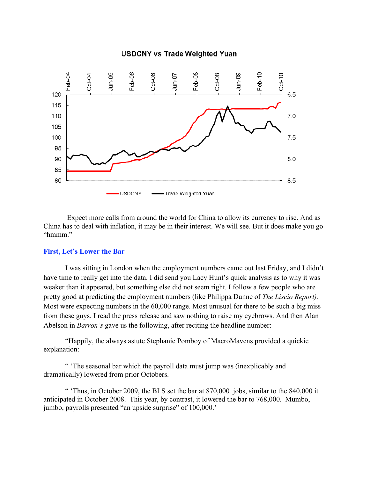

 Expect more calls from around the world for China to allow its currency to rise. And as China has to deal with inflation, it may be in their interest. We will see. But it does make you go "hmmm."

### First, Let's Lower the Bar

I was sitting in London when the employment numbers came out last Friday, and I didn't have time to really get into the data. I did send you Lacy Hunt's quick analysis as to why it was weaker than it appeared, but something else did not seem right. I follow a few people who are pretty good at predicting the employment numbers (like Philippa Dunne of *The Liscio Report).* Most were expecting numbers in the 60,000 range. Most unusual for there to be such a big miss from these guys. I read the press release and saw nothing to raise my eyebrows. And then Alan Abelson in *Barron's* gave us the following, after reciting the headline number:

"Happily, the always astute Stephanie Pomboy of MacroMavens provided a quickie explanation:

" 'The seasonal bar which the payroll data must jump was (inexplicably and dramatically) lowered from prior Octobers.

" 'Thus, in October 2009, the BLS set the bar at 870,000 jobs, similar to the 840,000 it anticipated in October 2008. This year, by contrast, it lowered the bar to 768,000. Mumbo, jumbo, payrolls presented "an upside surprise" of 100,000.'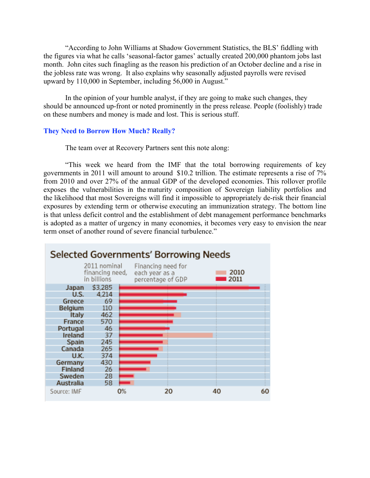"According to John Williams at Shadow Government Statistics, the BLS' fiddling with the figures via what he calls 'seasonal-factor games' actually created 200,000 phantom jobs last month. John cites such finagling as the reason his prediction of an October decline and a rise in the jobless rate was wrong. It also explains why seasonally adjusted payrolls were revised upward by 110,000 in September, including 56,000 in August."

In the opinion of your humble analyst, if they are going to make such changes, they should be announced up-front or noted prominently in the press release. People (foolishly) trade on these numbers and money is made and lost. This is serious stuff.

# They Need to Borrow How Much? Really?

The team over at Recovery Partners sent this note along:

"This week we heard from the IMF that the total borrowing requirements of key governments in 2011 will amount to around \$10.2 trillion. The estimate represents a rise of 7% from 2010 and over 27% of the annual GDP of the developed economies. This rollover profile exposes the vulnerabilities in the maturity composition of Sovereign liability portfolios and the likelihood that most Sovereigns will find it impossible to appropriately de-risk their financial exposures by extending term or otherwise executing an immunization strategy. The bottom line is that unless deficit control and the establishment of debt management performance benchmarks is adopted as a matter of urgency in many economies, it becomes very easy to envision the near term onset of another round of severe financial turbulence."

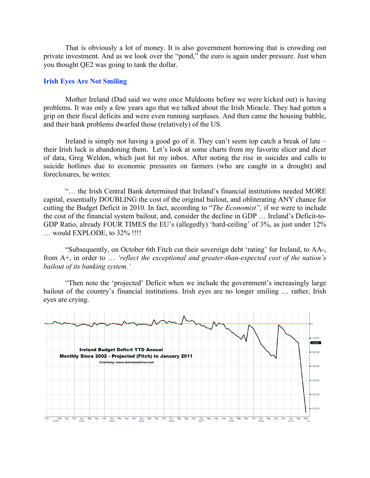That is obviously a lot of money. It is also government borrowing that is crowding out private investment. And as we look over the "pond," the euro is again under pressure. Just when you thought QE2 was going to tank the dollar.

#### Irish Eyes Are Not Smiling

Mother Ireland (Dad said we were once Muldoons before we were kicked out) is having problems. It was only a few years ago that we talked about the Irish Miracle. They had gotten a grip on their fiscal deficits and were even running surpluses. And then came the housing bubble, and their bank problems dwarfed those (relatively) of the US.

Ireland is simply not having a good go of it. They can't seem top catch a break of late – their Irish luck is abandoning them. Let's look at some charts from my favorite slicer and dicer of data, Greg Weldon, which just hit my inbox. After noting the rise in suicides and calls to suicide hotlines due to economic pressures on farmers (who are caught in a drought) and foreclosures, he writes:

"… the Irish Central Bank determined that Ireland's financial institutions needed MORE capital, essentially DOUBLING the cost of the original bailout, and obliterating ANY chance for cutting the Budget Deficit in 2010. In fact, according to "*The Economist",* if we were to include the cost of the financial system bailout, and, consider the decline in GDP … Ireland's Deficit-to-GDP Ratio, already FOUR TIMES the EU's (allegedly) 'hard-ceiling' of 3%, as just under 12% … would EXPLODE, to 32% !!!!

"Subsequently, on October 6th Fitch cut their sovereign debt 'rating' for Ireland, to AA-, from A+, in order to … *'reflect the exceptional and greater-than-expected cost of the nation's bailout of its banking system.'*

"Then note the 'projected' Deficit when we include the government's increasingly large bailout of the country's financial institutions. Irish eyes are no longer smiling … rather, Irish eyes are crying.

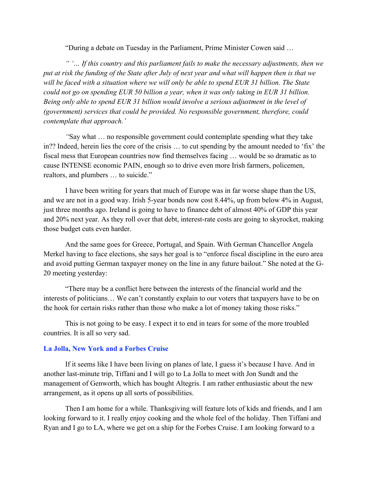"During a debate on Tuesday in the Parliament, Prime Minister Cowen said …

*" '… If this country and this parliament fails to make the necessary adjustments, then we put at risk the funding of the State after July of next year and what will happen then is that we will be faced with a situation where we will only be able to spend EUR 31 billion. The State could not go on spending EUR 50 billion a year, when it was only taking in EUR 31 billion. Being only able to spend EUR 31 billion would involve a serious adjustment in the level of (government) services that could be provided. No responsible government, therefore, could contemplate that approach.'*

*"*Say what … no responsible government could contemplate spending what they take in?? Indeed, herein lies the core of the crisis … to cut spending by the amount needed to 'fix' the fiscal mess that European countries now find themselves facing … would be so dramatic as to cause INTENSE economic PAIN, enough so to drive even more Irish farmers, policemen, realtors, and plumbers … to suicide."

I have been writing for years that much of Europe was in far worse shape than the US, and we are not in a good way. Irish 5-year bonds now cost 8.44%, up from below 4% in August, just three months ago. Ireland is going to have to finance debt of almost 40% of GDP this year and 20% next year. As they roll over that debt, interest-rate costs are going to skyrocket, making those budget cuts even harder.

And the same goes for Greece, Portugal, and Spain. With German Chancellor Angela Merkel having to face elections, she says her goal is to "enforce fiscal discipline in the euro area and avoid putting German taxpayer money on the line in any future bailout." She noted at the G-20 meeting yesterday:

"There may be a conflict here between the interests of the financial world and the interests of politicians… We can't constantly explain to our voters that taxpayers have to be on the hook for certain risks rather than those who make a lot of money taking those risks."

This is not going to be easy. I expect it to end in tears for some of the more troubled countries. It is all so very sad.

# La Jolla, New York and a Forbes Cruise

If it seems like I have been living on planes of late, I guess it's because I have. And in another last-minute trip, Tiffani and I will go to La Jolla to meet with Jon Sundt and the management of Genworth, which has bought Altegris. I am rather enthusiastic about the new arrangement, as it opens up all sorts of possibilities.

Then I am home for a while. Thanksgiving will feature lots of kids and friends, and I am looking forward to it. I really enjoy cooking and the whole feel of the holiday. Then Tiffani and Ryan and I go to LA, where we get on a ship for the Forbes Cruise. I am looking forward to a